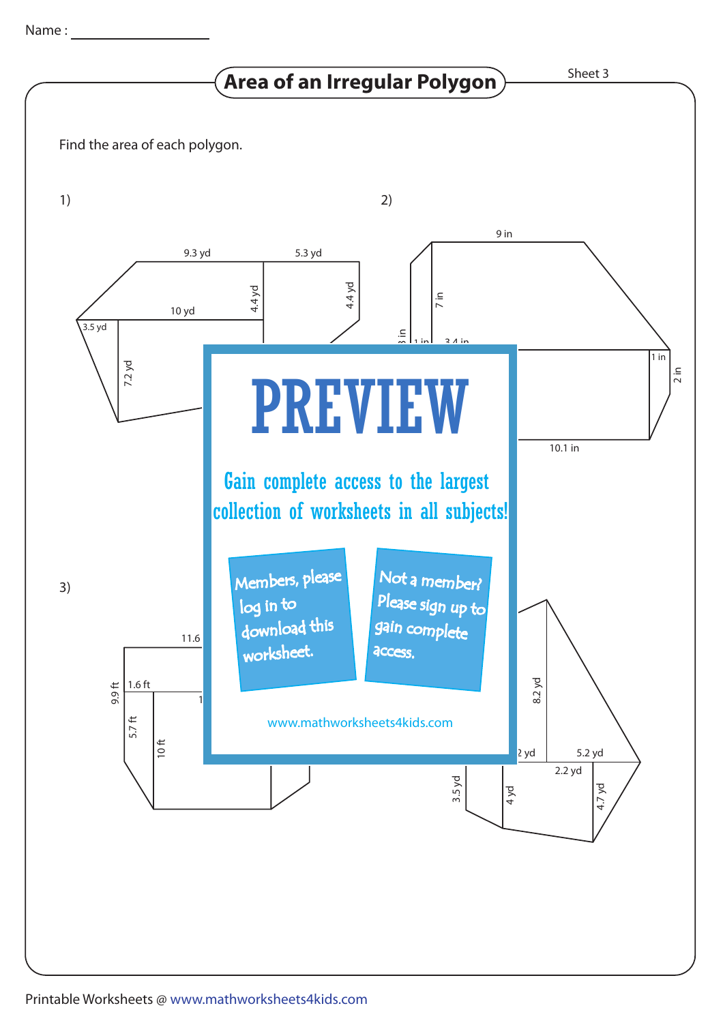